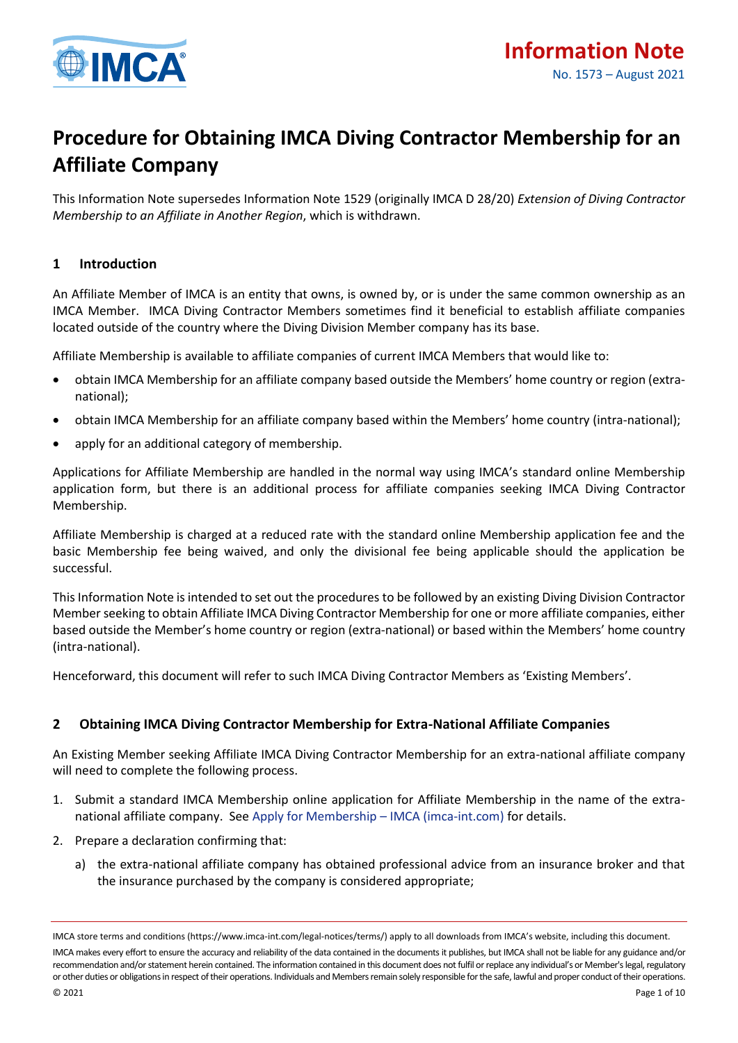

# **Procedure for Obtaining IMCA Diving Contractor Membership for an Affiliate Company**

This Information Note supersedes Information Note 1529 (originally IMCA D 28/20) *Extension of Diving Contractor Membership to an Affiliate in Another Region*, which is withdrawn.

## **1 Introduction**

An Affiliate Member of IMCA is an entity that owns, is owned by, or is under the same common ownership as an IMCA Member. IMCA Diving Contractor Members sometimes find it beneficial to establish affiliate companies located outside of the country where the Diving Division Member company has its base.

Affiliate Membership is available to affiliate companies of current IMCA Members that would like to:

- obtain IMCA Membership for an affiliate company based outside the Members' home country or region (extranational);
- obtain IMCA Membership for an affiliate company based within the Members' home country (intra-national);
- apply for an additional category of membership.

Applications for Affiliate Membership are handled in the normal way using IMCA's standard online Membership application form, but there is an additional process for affiliate companies seeking IMCA Diving Contractor Membership.

Affiliate Membership is charged at a reduced rate with the standard online Membership application fee and the basic Membership fee being waived, and only the divisional fee being applicable should the application be successful.

This Information Note is intended to set out the procedures to be followed by an existing Diving Division Contractor Member seeking to obtain Affiliate IMCA Diving Contractor Membership for one or more affiliate companies, either based outside the Member's home country or region (extra-national) or based within the Members' home country (intra-national).

Henceforward, this document will refer to such IMCA Diving Contractor Members as 'Existing Members'.

## **2 Obtaining IMCA Diving Contractor Membership for Extra-National Affiliate Companies**

An Existing Member seeking Affiliate IMCA Diving Contractor Membership for an extra-national affiliate company will need to complete the following process.

- 1. Submit a standard IMCA Membership online application for Affiliate Membership in the name of the extranational affiliate company. Se[e Apply for Membership](https://www.imca-int.com/membership/apply/) – IMCA (imca-int.com) for details.
- 2. Prepare a declaration confirming that:
	- a) the extra-national affiliate company has obtained professional advice from an insurance broker and that the insurance purchased by the company is considered appropriate;

IMCA store terms and conditions (https://www.imca-int.com/legal-notices/terms/) apply to all downloads from IMCA's website, including this document. IMCA makes every effort to ensure the accuracy and reliability of the data contained in the documents it publishes, but IMCA shall not be liable for any guidance and/or recommendation and/or statement herein contained. The information contained in this document does not fulfil or replace any individual's or Member's legal, regulatory or other duties or obligations in respect of their operations. Individuals and Members remain solely responsible for the safe, lawful and proper conduct of their operations.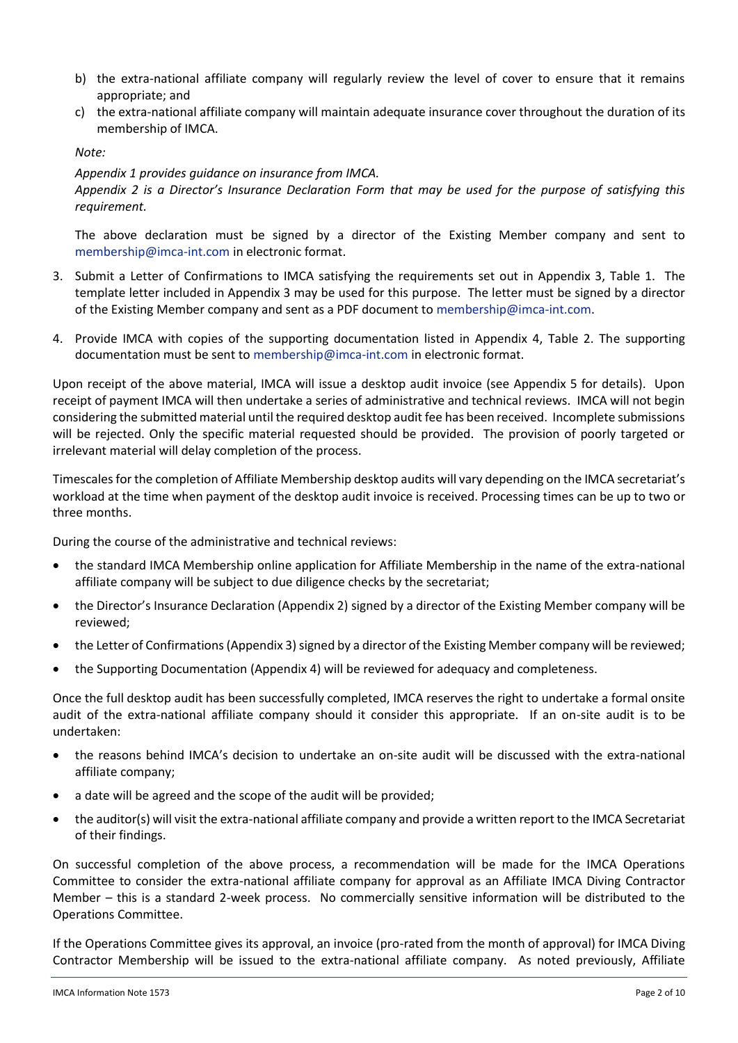- b) the extra-national affiliate company will regularly review the level of cover to ensure that it remains appropriate; and
- c) the extra-national affiliate company will maintain adequate insurance cover throughout the duration of its membership of IMCA.

*Note:* 

#### *Appendix 1 provides guidance on insurance from IMCA.*

*Appendix 2 is a Director's Insurance Declaration Form that may be used for the purpose of satisfying this requirement.*

The above declaration must be signed by a director of the Existing Member company and sent to [membership@imca-int.com](mailto:membership@imca-int.com) in electronic format.

- 3. Submit a Letter of Confirmations to IMCA satisfying the requirements set out in Appendix 3, Table 1. The template letter included in Appendix 3 may be used for this purpose. The letter must be signed by a director of the Existing Member company and sent as a PDF document to [membership@imca-int.com.](mailto:membership@imca-int.com)
- 4. Provide IMCA with copies of the supporting documentation listed in Appendix 4, Table 2. The supporting documentation must be sent to [membership@imca-int.com](mailto:membership@imca-int.com) in electronic format.

Upon receipt of the above material, IMCA will issue a desktop audit invoice (see Appendix 5 for details). Upon receipt of payment IMCA will then undertake a series of administrative and technical reviews. IMCA will not begin considering the submitted material until the required desktop audit fee has been received. Incomplete submissions will be rejected. Only the specific material requested should be provided. The provision of poorly targeted or irrelevant material will delay completion of the process.

Timescales for the completion of Affiliate Membership desktop audits will vary depending on the IMCA secretariat's workload at the time when payment of the desktop audit invoice is received. Processing times can be up to two or three months.

During the course of the administrative and technical reviews:

- the standard IMCA Membership online application for Affiliate Membership in the name of the extra-national affiliate company will be subject to due diligence checks by the secretariat;
- the Director's Insurance Declaration (Appendix 2) signed by a director of the Existing Member company will be reviewed;
- the Letter of Confirmations (Appendix 3) signed by a director of the Existing Member company will be reviewed;
- the Supporting Documentation (Appendix 4) will be reviewed for adequacy and completeness.

Once the full desktop audit has been successfully completed, IMCA reserves the right to undertake a formal onsite audit of the extra-national affiliate company should it consider this appropriate. If an on-site audit is to be undertaken:

- the reasons behind IMCA's decision to undertake an on-site audit will be discussed with the extra-national affiliate company;
- a date will be agreed and the scope of the audit will be provided;
- the auditor(s) will visit the extra-national affiliate company and provide a written report to the IMCA Secretariat of their findings.

On successful completion of the above process, a recommendation will be made for the IMCA Operations Committee to consider the extra-national affiliate company for approval as an Affiliate IMCA Diving Contractor Member – this is a standard 2-week process. No commercially sensitive information will be distributed to the Operations Committee.

If the Operations Committee gives its approval, an invoice (pro-rated from the month of approval) for IMCA Diving Contractor Membership will be issued to the extra-national affiliate company. As noted previously, Affiliate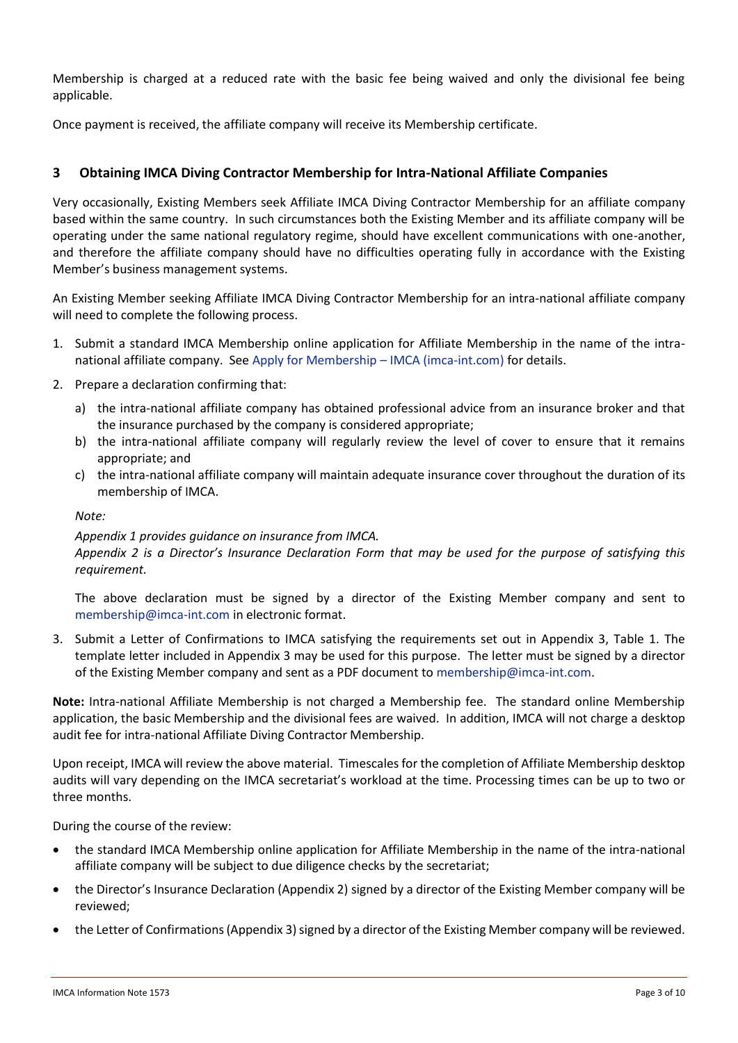Membership is charged at a reduced rate with the basic fee being waived and only the divisional fee being applicable.

Once payment is received, the affiliate company will receive its Membership certificate.

## **3 Obtaining IMCA Diving Contractor Membership for Intra-National Affiliate Companies**

Very occasionally, Existing Members seek Affiliate IMCA Diving Contractor Membership for an affiliate company based within the same country. In such circumstances both the Existing Member and its affiliate company will be operating under the same national regulatory regime, should have excellent communications with one-another, and therefore the affiliate company should have no difficulties operating fully in accordance with the Existing Member's business management systems.

An Existing Member seeking Affiliate IMCA Diving Contractor Membership for an intra-national affiliate company will need to complete the following process.

- 1. Submit a standard IMCA Membership online application for Affiliate Membership in the name of the intranational affiliate company. Se[e Apply for Membership](https://www.imca-int.com/membership/apply/) – IMCA (imca-int.com) for details.
- 2. Prepare a declaration confirming that:
	- a) the intra-national affiliate company has obtained professional advice from an insurance broker and that the insurance purchased by the company is considered appropriate;
	- b) the intra-national affiliate company will regularly review the level of cover to ensure that it remains appropriate; and
	- c) the intra-national affiliate company will maintain adequate insurance cover throughout the duration of its membership of IMCA.

*Note:* 

#### *Appendix 1 provides guidance on insurance from IMCA.*

*Appendix 2 is a Director's Insurance Declaration Form that may be used for the purpose of satisfying this requirement.*

The above declaration must be signed by a director of the Existing Member company and sent to [membership@imca-int.com](mailto:membership@imca-int.com) in electronic format.

3. Submit a Letter of Confirmations to IMCA satisfying the requirements set out in Appendix 3, Table 1. The template letter included in Appendix 3 may be used for this purpose. The letter must be signed by a director of the Existing Member company and sent as a PDF document to [membership@imca-int.com.](mailto:membership@imca-int.com)

**Note:** Intra-national Affiliate Membership is not charged a Membership fee. The standard online Membership application, the basic Membership and the divisional fees are waived. In addition, IMCA will not charge a desktop audit fee for intra-national Affiliate Diving Contractor Membership.

Upon receipt, IMCA will review the above material. Timescales for the completion of Affiliate Membership desktop audits will vary depending on the IMCA secretariat's workload at the time. Processing times can be up to two or three months.

During the course of the review:

- the standard IMCA Membership online application for Affiliate Membership in the name of the intra-national affiliate company will be subject to due diligence checks by the secretariat;
- the Director's Insurance Declaration (Appendix 2) signed by a director of the Existing Member company will be reviewed;
- the Letter of Confirmations (Appendix 3) signed by a director of the Existing Member company will be reviewed.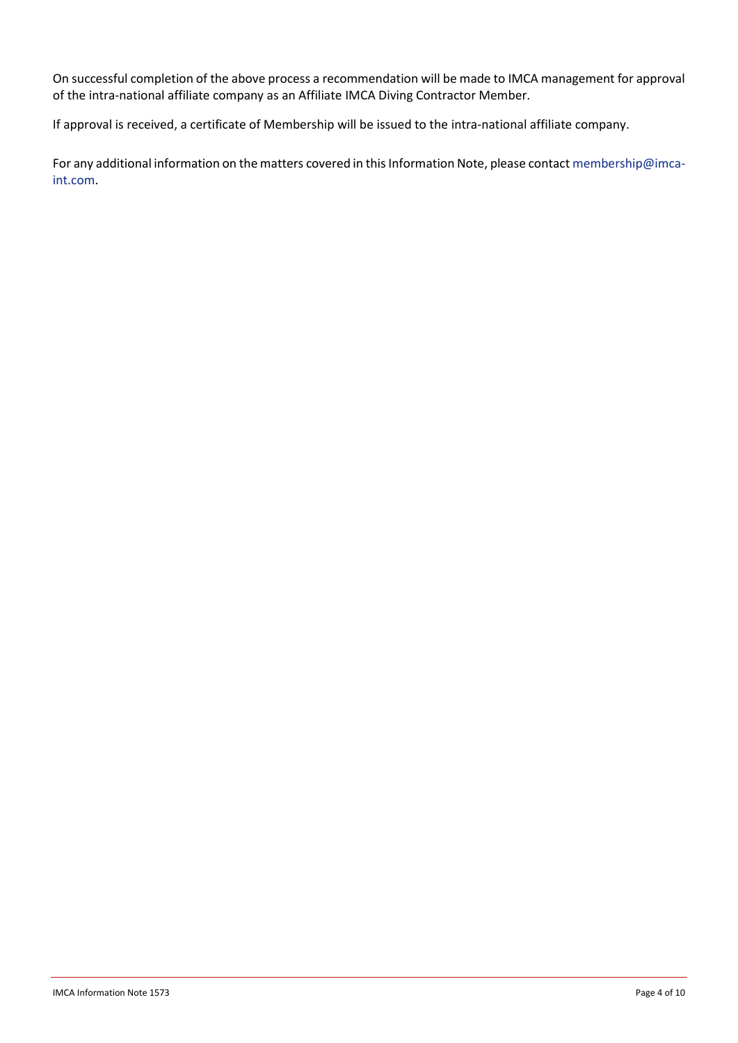On successful completion of the above process a recommendation will be made to IMCA management for approval of the intra-national affiliate company as an Affiliate IMCA Diving Contractor Member.

If approval is received, a certificate of Membership will be issued to the intra-national affiliate company.

For any additional information on the matters covered in this Information Note, please contact [membership@imca](mailto:membership@imca-int.com)[int.com.](mailto:membership@imca-int.com)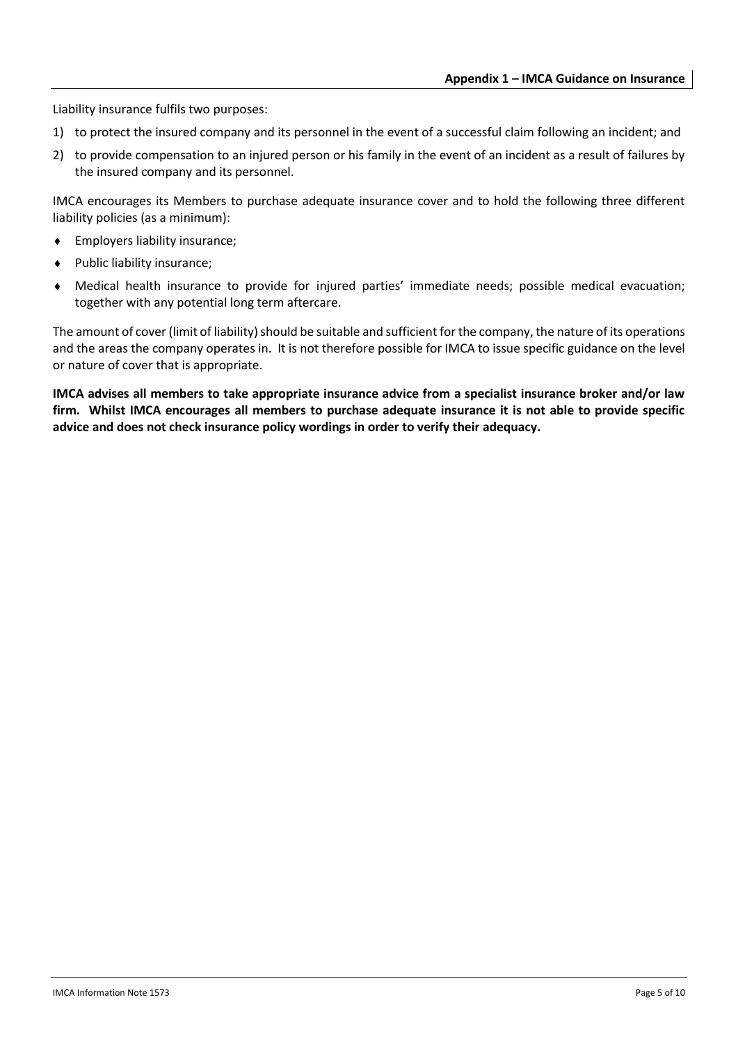Liability insurance fulfils two purposes:

- 1) to protect the insured company and its personnel in the event of a successful claim following an incident; and
- 2) to provide compensation to an injured person or his family in the event of an incident as a result of failures by the insured company and its personnel.

IMCA encourages its Members to purchase adequate insurance cover and to hold the following three different liability policies (as a minimum):

- Employers liability insurance;
- Public liability insurance;
- Medical health insurance to provide for injured parties' immediate needs; possible medical evacuation; together with any potential long term aftercare.

The amount of cover (limit of liability) should be suitable and sufficient for the company, the nature of its operations and the areas the company operates in. It is not therefore possible for IMCA to issue specific guidance on the level or nature of cover that is appropriate.

**IMCA advises all members to take appropriate insurance advice from a specialist insurance broker and/or law firm. Whilst IMCA encourages all members to purchase adequate insurance it is not able to provide specific advice and does not check insurance policy wordings in order to verify their adequacy.**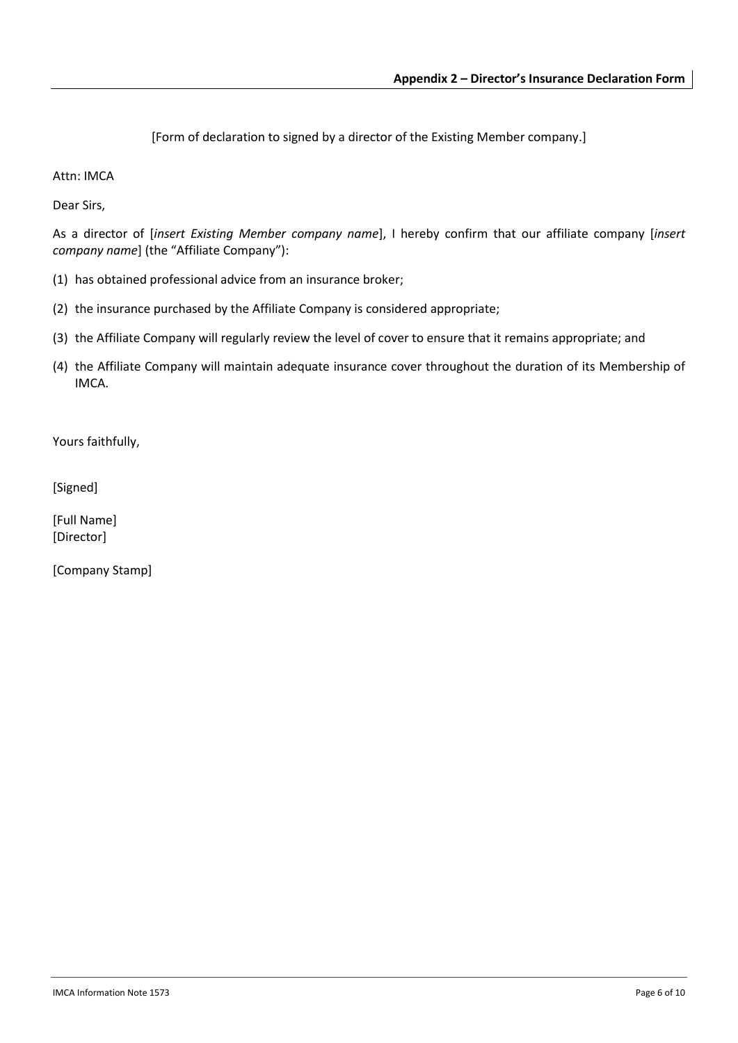[Form of declaration to signed by a director of the Existing Member company.]

Attn: IMCA

Dear Sirs,

As a director of [*insert Existing Member company name*], I hereby confirm that our affiliate company [*insert company name*] (the "Affiliate Company"):

- (1) has obtained professional advice from an insurance broker;
- (2) the insurance purchased by the Affiliate Company is considered appropriate;
- (3) the Affiliate Company will regularly review the level of cover to ensure that it remains appropriate; and
- (4) the Affiliate Company will maintain adequate insurance cover throughout the duration of its Membership of IMCA.

Yours faithfully,

[Signed]

[Full Name] [Director]

[Company Stamp]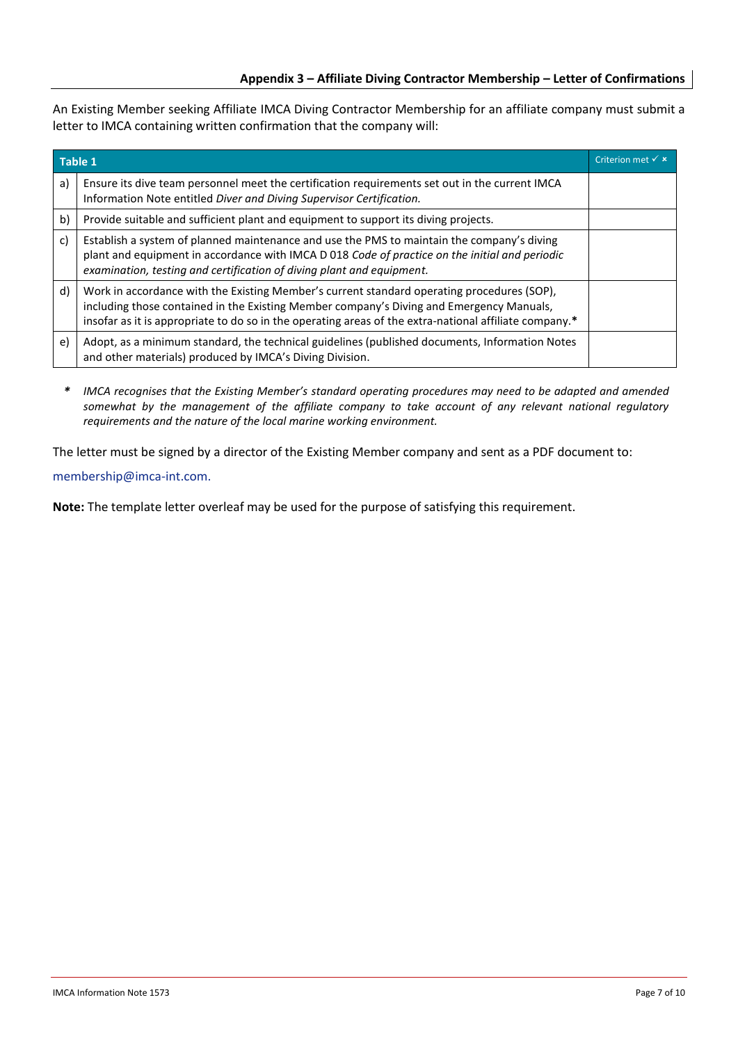An Existing Member seeking Affiliate IMCA Diving Contractor Membership for an affiliate company must submit a letter to IMCA containing written confirmation that the company will:

| Table 1 |                                                                                                                                                                                                                                                                                                  | Criterion met $\times$ $\times$ |
|---------|--------------------------------------------------------------------------------------------------------------------------------------------------------------------------------------------------------------------------------------------------------------------------------------------------|---------------------------------|
| a)      | Ensure its dive team personnel meet the certification requirements set out in the current IMCA<br>Information Note entitled Diver and Diving Supervisor Certification.                                                                                                                           |                                 |
| b)      | Provide suitable and sufficient plant and equipment to support its diving projects.                                                                                                                                                                                                              |                                 |
| c)      | Establish a system of planned maintenance and use the PMS to maintain the company's diving<br>plant and equipment in accordance with IMCA D 018 Code of practice on the initial and periodic<br>examination, testing and certification of diving plant and equipment.                            |                                 |
| d)      | Work in accordance with the Existing Member's current standard operating procedures (SOP),<br>including those contained in the Existing Member company's Diving and Emergency Manuals,<br>insofar as it is appropriate to do so in the operating areas of the extra-national affiliate company.* |                                 |
| e)      | Adopt, as a minimum standard, the technical guidelines (published documents, Information Notes<br>and other materials) produced by IMCA's Diving Division.                                                                                                                                       |                                 |

*\* IMCA recognises that the Existing Member's standard operating procedures may need to be adapted and amended somewhat by the management of the affiliate company to take account of any relevant national regulatory requirements and the nature of the local marine working environment.*

The letter must be signed by a director of the Existing Member company and sent as a PDF document to: [membership@imca-int.com.](mailto:membership@imca-int.com)

**Note:** The template letter overleaf may be used for the purpose of satisfying this requirement.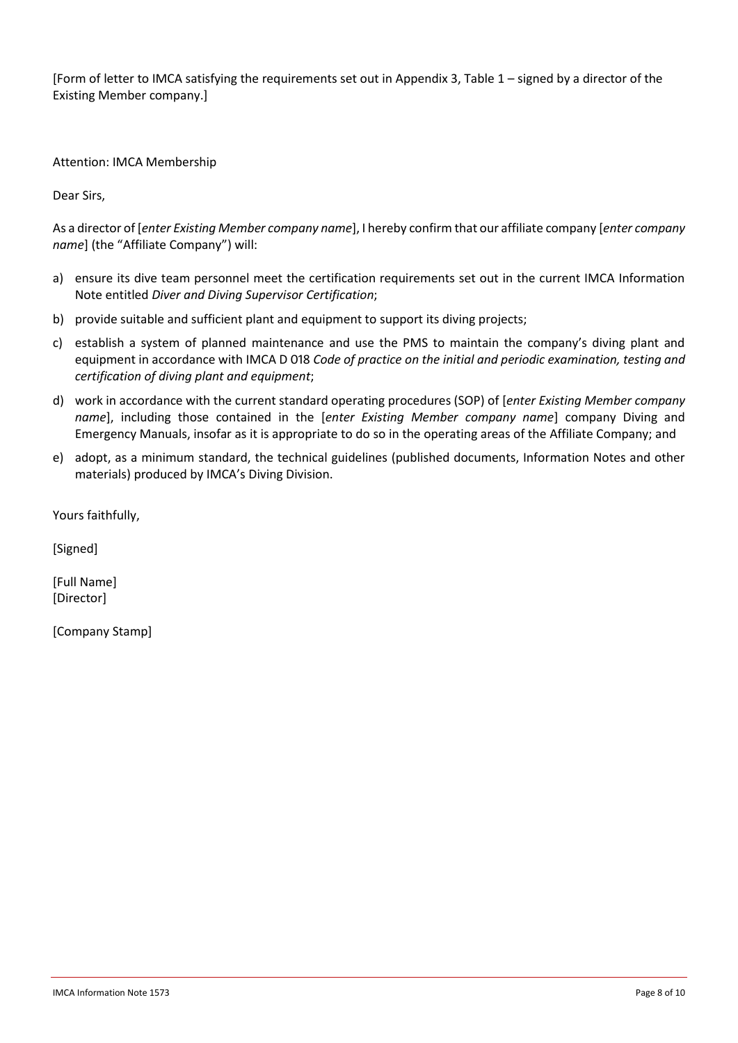[Form of letter to IMCA satisfying the requirements set out in Appendix 3, Table 1 – signed by a director of the Existing Member company.]

Attention: IMCA Membership

Dear Sirs,

As a director of [*enter Existing Member company name*], I hereby confirm that our affiliate company [*enter company name*] (the "Affiliate Company") will:

- a) ensure its dive team personnel meet the certification requirements set out in the current IMCA Information Note entitled *Diver and Diving Supervisor Certification*;
- b) provide suitable and sufficient plant and equipment to support its diving projects;
- c) establish a system of planned maintenance and use the PMS to maintain the company's diving plant and equipment in accordance with IMCA D 018 *Code of practice on the initial and periodic examination, testing and certification of diving plant and equipment*;
- d) work in accordance with the current standard operating procedures (SOP) of [*enter Existing Member company name*], including those contained in the [*enter Existing Member company name*] company Diving and Emergency Manuals, insofar as it is appropriate to do so in the operating areas of the Affiliate Company; and
- e) adopt, as a minimum standard, the technical guidelines (published documents, Information Notes and other materials) produced by IMCA's Diving Division.

Yours faithfully,

[Signed]

[Full Name] [Director]

[Company Stamp]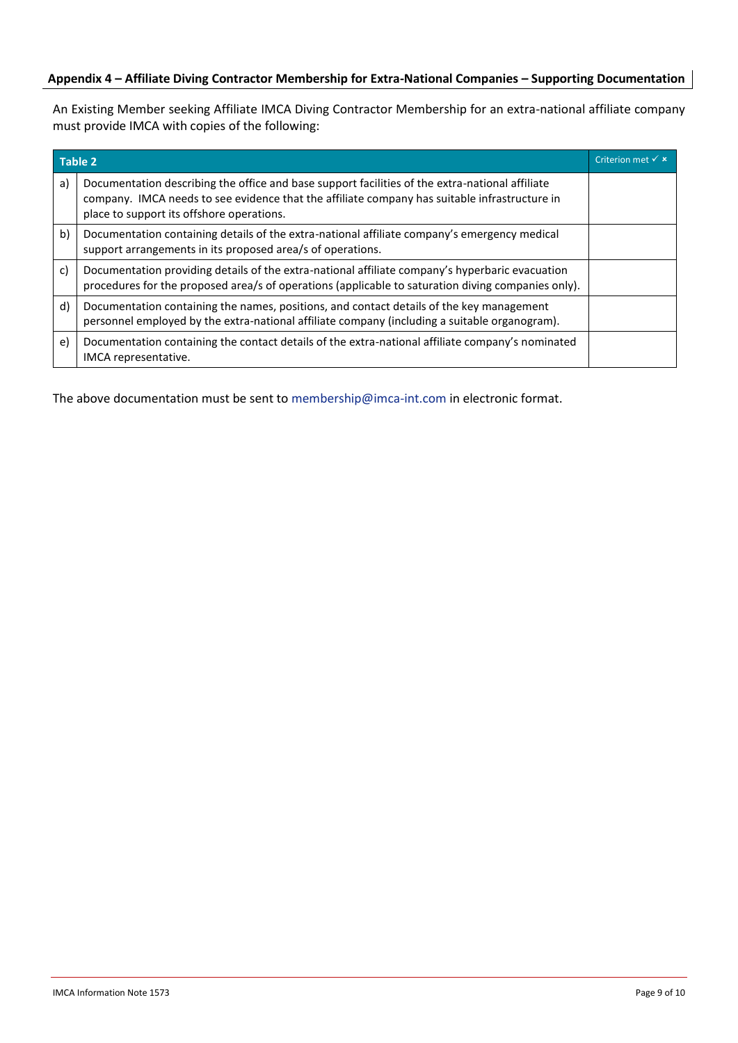## **Appendix 4 – Affiliate Diving Contractor Membership for Extra-National Companies – Supporting Documentation**

An Existing Member seeking Affiliate IMCA Diving Contractor Membership for an extra-national affiliate company must provide IMCA with copies of the following:

| <b>Table 2</b> |                                                                                                                                                                                                                                               | Criterion met $\checkmark$ $\star$ |
|----------------|-----------------------------------------------------------------------------------------------------------------------------------------------------------------------------------------------------------------------------------------------|------------------------------------|
| a)             | Documentation describing the office and base support facilities of the extra-national affiliate<br>company. IMCA needs to see evidence that the affiliate company has suitable infrastructure in<br>place to support its offshore operations. |                                    |
| b)             | Documentation containing details of the extra-national affiliate company's emergency medical<br>support arrangements in its proposed area/s of operations.                                                                                    |                                    |
| c)             | Documentation providing details of the extra-national affiliate company's hyperbaric evacuation<br>procedures for the proposed area/s of operations (applicable to saturation diving companies only).                                         |                                    |
| d)             | Documentation containing the names, positions, and contact details of the key management<br>personnel employed by the extra-national affiliate company (including a suitable organogram).                                                     |                                    |
| e)             | Documentation containing the contact details of the extra-national affiliate company's nominated<br>IMCA representative.                                                                                                                      |                                    |

The above documentation must be sent to [membership@imca-int.com](mailto:membership@imca-int.com) in electronic format.